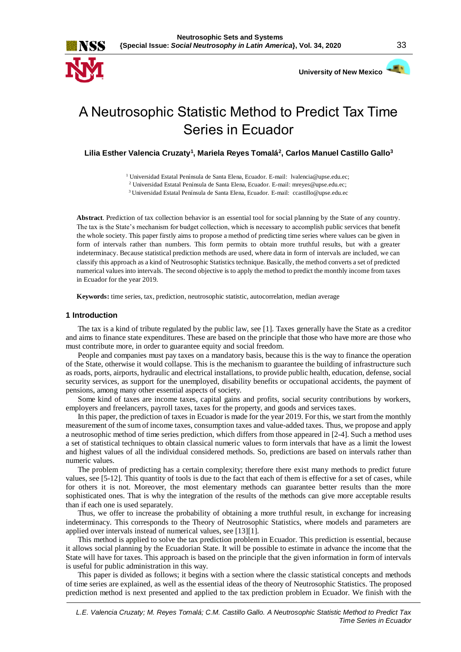



# A Neutrosophic Statistic Method to Predict Tax Time Series in Ecuador

**Lilia Esther Valencia Cruzaty<sup>1</sup> , Mariela Reyes Tomalá<sup>2</sup> , Carlos Manuel Castillo Gallo<sup>3</sup>**

<sup>1</sup> Universidad Estatal Península de Santa Elena, Ecuador. E-mail: [lvalencia@upse.edu.ec;](mailto:lvalencia@upse.edu.ec)

<sup>2</sup> Universidad Estatal Península de Santa Elena, Ecuador. E-mail[: mreyes@upse.edu.ec;](mailto:mreyes@upse.edu.ec)

<sup>3</sup>Universidad Estatal Península de Santa Elena, Ecuador. E-mail: [ccastillo@upse.edu.ec](mailto:ccastillo@upse.edu.ec)

**Abstract**. Prediction of tax collection behavior is an essential tool for social planning by the State of any country. The tax is the State's mechanism for budget collection, which is necessary to accomplish public services that benefit the whole society. This paper firstly aims to propose a method of predicting time series where values can be given in form of intervals rather than numbers. This form permits to obtain more truthful results, but with a greater indeterminacy. Because statistical prediction methods are used, where data in form of intervals are included, we can classify this approach as a kind of Neutrosophic Statistics technique. Basically, the method converts a set of predicted numerical values into intervals. The second objective is to apply the method to predict the monthly income from taxes in Ecuador for the year 2019.

**Keywords:** time series, tax, prediction, neutrosophic statistic, autocorrelation, median average

## **1 Introduction**

The tax is a kind of tribute regulated by the public law, see [1]. Taxes generally have the State as a creditor and aims to finance state expenditures. These are based on the principle that those who have more are those who must contribute more, in order to guarantee equity and social freedom.

People and companies must pay taxes on a mandatory basis, because this is the way to finance the operation of the State, otherwise it would collapse. This is the mechanism to guarantee the building of infrastructure such as roads, ports, airports, hydraulic and electrical installations, to provide public health, education, defense, social security services, as support for the unemployed, disability benefits or occupational accidents, the payment of pensions, among many other essential aspects of society.

Some kind of taxes are income taxes, capital gains and profits, social security contributions by workers, employers and freelancers, payroll taxes, taxes for the property, and goods and services taxes.

In this paper, the prediction of taxes in Ecuador is made for the year 2019. For this, we start from the monthly measurement of the sum of income taxes, consumption taxes and value-added taxes. Thus, we propose and apply a neutrosophic method of time series prediction, which differs from those appeared in [2-4]. Such a method uses a set of statistical techniques to obtain classical numeric values to form intervals that have as a limit the lowest and highest values of all the individual considered methods. So, predictions are based on intervals rather than numeric values.

The problem of predicting has a certain complexity; therefore there exist many methods to predict future values, see [5-12]. This quantity of tools is due to the fact that each of them is effective for a set of cases, while for others it is not. Moreover, the most elementary methods can guarantee better results than the more sophisticated ones. That is why the integration of the results of the methods can give more acceptable results than if each one is used separately.

Thus, we offer to increase the probability of obtaining a more truthful result, in exchange for increasing indeterminacy. This corresponds to the Theory of Neutrosophic Statistics, where models and parameters are applied over intervals instead of numerical values, see [13][1].

This method is applied to solve the tax prediction problem in Ecuador. This prediction is essential, because it allows social planning by the Ecuadorian State. It will be possible to estimate in advance the income that the State will have for taxes. This approach is based on the principle that the given information in form of intervals is useful for public administration in this way.

This paper is divided as follows; it begins with a section where the classic statistical concepts and methods of time series are explained, as well as the essential ideas of the theory of Neutrosophic Statistics. The proposed prediction method is next presented and applied to the tax prediction problem in Ecuador. We finish with the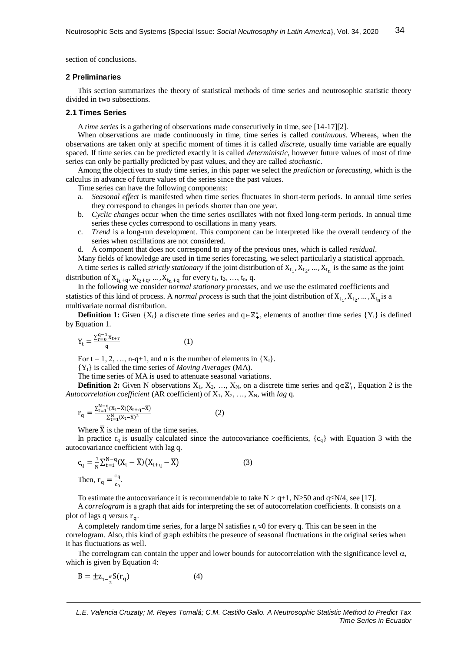section of conclusions.

#### **2 Preliminaries**

This section summarizes the theory of statistical methods of time series and neutrosophic statistic theory divided in two subsections.

## **2.1 Times Series**

A *time series* is a gathering of observations made consecutively in time, see [14-17][2].

When observations are made continuously in time, time series is called *continuous*. Whereas, when the observations are taken only at specific moment of times it is called *discrete*, usually time variable are equally spaced. If time series can be predicted exactly it is called *deterministic*, however future values of most of time series can only be partially predicted by past values, and they are called *stochastic*.

Among the objectives to study time series, in this paper we select the *prediction* or *forecasting*, which is the calculus in advance of future values of the series since the past values.

Time series can have the following components:

- a. *Seasonal effect* is manifested when time series fluctuates in short-term periods. In annual time series they correspond to changes in periods shorter than one year.
- b. *Cyclic changes* occur when the time series oscillates with not fixed long-term periods. In annual time series these cycles correspond to oscillations in many years.
- c. *Trend* is a long-run development. This component can be interpreted like the overall tendency of the series when oscillations are not considered.
- d. A component that does not correspond to any of the previous ones, which is called *residual*.

Many fields of knowledge are used in time series forecasting, we select particularly a statistical approach. A time series is called *strictly stationary* if the joint distribution of  $X_{t_1}, X_{t_2}, \ldots, X_{t_n}$  is the same as the joint distribution of  $X_{t_1+q}, X_{t_2+q}, ..., X_{t_n+q}$  for every  $t_1, t_2, ..., t_n, q$ .

In the following we consider *normal stationary processes*, and we use the estimated coefficients and statistics of this kind of process. A *normal process* is such that the joint distribution of  $X_{t_1}, X_{t_2}, ..., X_{t_n}$  is a multivariate normal distribution.

**Definition 1:** Given  $\{X_t\}$  a discrete time series and  $q \in \mathbb{Z}_+^*$ , elements of another time series  $\{Y_t\}$  is defined by Equation 1.

$$
Y_t = \frac{\sum_{r=0}^{q-1} x_{t+r}}{q}
$$
 (1)

For  $t = 1, 2, ..., n-q+1$ , and n is the number of elements in  $\{X_t\}$ .

{Yt} is called the time series of *Moving Averages* (MA).

The time series of MA is used to attenuate seasonal variations.

**Definition 2:** Given N observations  $X_1, X_2, ..., X_N$ , on a discrete time series and  $q \in \mathbb{Z}_+^*$ , Equation 2 is the *Autocorrelation coefficient* (AR coefficient) of  $X_1, X_2, ..., X_N$ , with *lag* q.

$$
r_{q} = \frac{\sum_{t=1}^{N-q} (x_{t}-\overline{x})(x_{t+q}-\overline{x})}{\sum_{t=1}^{N} (x_{t}-\overline{x})^{2}}
$$
(2)

Where  $\overline{X}$  is the mean of the time series.

In practice  $r_q$  is usually calculated since the autocovariance coefficients,  $\{c_q\}$  with Equation 3 with the autocovariance coefficient with lag q.

$$
c_q = \frac{1}{N} \sum_{t=1}^{N-q} (X_t - \overline{X}) (X_{t+q} - \overline{X})
$$
  
Then, 
$$
r_q = \frac{c_q}{c_o}.
$$
 (3)

To estimate the autocovariance it is recommendable to take  $N > q+1$ ,  $N \ge 50$  and  $q \le N/4$ , see [17].

A *correlogram* is a graph that aids for interpreting the set of autocorrelation coefficients. It consists on a plot of lags q versus r<sub>q</sub>.

A completely random time series, for a large N satisfies  $r_q \approx 0$  for every q. This can be seen in the correlogram. Also, this kind of graph exhibits the presence of seasonal fluctuations in the original series when it has fluctuations as well.

The correlogram can contain the upper and lower bounds for autocorrelation with the significance level  $\alpha$ , which is given by Equation 4:

$$
B = \pm z_{1-\frac{\alpha}{2}} S(r_q)
$$
 (4)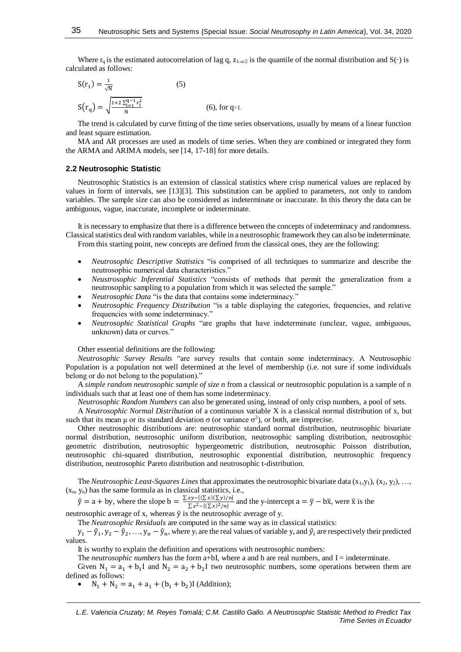Where r<sub>q</sub> is the estimated autocorrelation of lag q,  $z_{1-\alpha/2}$  is the quantile of the normal distribution and  $S(\cdot)$  is calculated as follows:

$$
S(r_1) = \frac{1}{\sqrt{N}}
$$
(5)  

$$
S(r_q) = \sqrt{\frac{1 + 2 \sum_{i=1}^{q-1} r_i^2}{N}}
$$
(6), for q>1.

The trend is calculated by curve fitting of the time series observations, usually by means of a linear function and least square estimation.

MA and AR processes are used as models of time series. When they are combined or integrated they form the ARMA and ARIMA models, see [14, 17-18] for more details.

#### **2.2 Neutrosophic Statistic**

Neutrosophic Statistics is an extension of classical statistics where crisp numerical values are replaced by values in form of intervals, see [13][3]. This substitution can be applied to parameters, not only to random variables. The sample size can also be considered as indeterminate or inaccurate. In this theory the data can be ambiguous, vague, inaccurate, incomplete or indeterminate.

It is necessary to emphasize that there is a difference between the concepts of indeterminacy and randomness. Classical statistics deal with random variables, while in a neutrosophic framework they can also be indeterminate. From this starting point, new concepts are defined from the classical ones, they are the following:

- *Neutrosophic Descriptive Statistics* "is comprised of all techniques to summarize and describe the neutrosophic numerical data characteristics."
- *Neustrosophic Inferential Statistics* "consists of methods that permit the generalization from a neutrosophic sampling to a population from which it was selected the sample."
- *Neutrosophic Data* "is the data that contains some indeterminacy."
- *Neutrosophic Frequency Distribution* "is a table displaying the categories, frequencies, and relative frequencies with some indeterminacy."
- *Neutrosophic Statistical Graphs* "are graphs that have indeterminate (unclear, vague, ambiguous, unknown) data or curves."

Other essential definitions are the following:

*Neutrosophic Survey Results* "are survey results that contain some indeterminacy. A Neutrosophic Population is a population not well determined at the level of membership (i.e. not sure if some individuals belong or do not belong to the population)."

A *simple random neutrosophic sample of size n* from a classical or neutrosophic population is a sample of n individuals such that at least one of them has some indeterminacy.

*Neutrosophic Random Numbers* can also be generated using, instead of only crisp numbers, a pool of sets.

A *Neutrosophic Normal Distribution* of a continuous variable X is a classical normal distribution of x, but such that its mean  $\mu$  or its standard deviation  $\sigma$  (or variance  $\sigma^2$ ), or both, are imprecise.

Other neutrosophic distributions are: neutrosophic standard normal distribution, neutrosophic bivariate normal distribution, neutrosophic uniform distribution, neutrosophic sampling distribution, neutrosophic geometric distribution, neutrosophic hypergeometric distribution, neutrosophic Poisson distribution, neutrosophic chi-squared distribution, neutrosophic exponential distribution, neutrosophic frequency distribution, neutrosophic Pareto distribution and neutrosophic t-distribution.

The *Neutrosophic Least-Squares Lines* that approximates the neutrosophic bivariate data  $(x_1, y_1), (x_2, y_2), ...,$  $(x_n, y_n)$  has the same formula as in classical statistics, i.e.,

 $\hat{y} = a + by$ , where the slope  $b = \frac{\sum xy - [(\sum x)(\sum y)/n]}{\sum x^2 + [(\sum x)(\sum y)/n]}$  $\frac{\sum x^2 - [(\sum x)(\sum y)/n]}{\sum x^2 - [(\sum x)^2/n]}$  and the y-intercept  $a = \overline{y} - b\overline{x}$ , were  $\overline{x}$  is the

neutrosophic average of x, whereas  $\bar{y}$  is the neutrosophic average of y.

The *Neutrosophic Residuals* are computed in the same way as in classical statistics:

 $y_1 - \hat{y}_1, y_2 - \hat{y}_2, ..., y_n - \hat{y}_n$ , where  $y_i$  are the real values of variable y, and  $\hat{y}_i$  are respectively their predicted values.

It is worthy to explain the definition and operations with neutrosophic numbers:

The *neutrosophic numbers* has the form a+bI, where a and b are real numbers, and I = indeterminate.

Given  $N_1 = a_1 + b_1 I$  and  $N_2 = a_2 + b_2 I$  two neutrosophic numbers, some operations between them are defined as follows:

•  $N_1 + N_2 = a_1 + a_1 + (b_1 + b_2) I$  (Addition);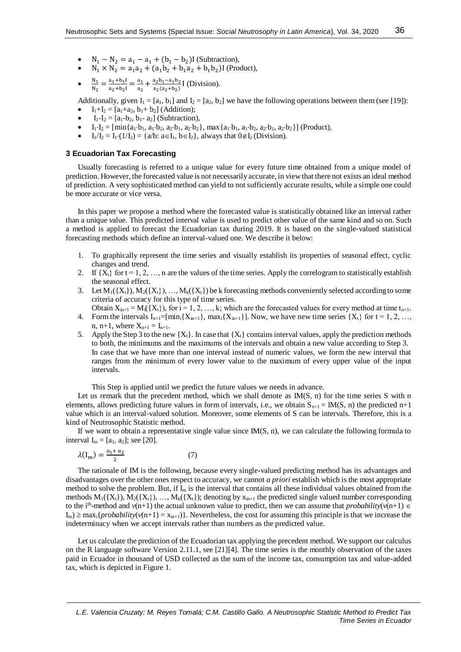- $N_1 N_2 = a_1 a_1 + (b_1 b_2) I$  (Subtraction),
- $N_1 \times N_2 = a_1 a_2 + (a_1 b_2 + b_1 a_2 + b_1 b_2)$ I (Product),
- $\bullet$  $\frac{N_1}{2}$  $\frac{N_1}{N_2} = \frac{a_1 + b_1 I}{a_2 + b_2 I}$  $\frac{a_1+b_1I}{a_2+b_2I} = \frac{a_1}{a_2}$  $\frac{a_1}{a_2} + \frac{a_2b_1 - a_1b_2}{a_2(a_2+b_2)}$  $\frac{a_2b_1 - a_1b_2}{a_2(a_2+b_2)}$  [ (Division).

Additionally, given  $I_1 = [a_1, b_1]$  and  $I_2 = [a_2, b_2]$  we have the following operations between them (see [19]):

- $I_1+I_2 = [a_1+a_2, b_1+b_2]$  (Addition);
- $I_1-I_2 = [a_1-b_2, b_1-a_2]$  (Subtraction),
- $I_1-I_2 = \left[\min\{a_1 \cdot b_1, a_1 \cdot b_2, a_2 \cdot b_1, a_2 \cdot b_2\}, \max\{a_1 \cdot b_1, a_1 \cdot b_2, a_2 \cdot b_1, a_2 \cdot b_2\}\right]$  (Product),
- $I_1/I_2 = I_1 \cdot (1/I_2) = \{a/b : a \in I_1, b \in I_2\}$ , always that  $0 \notin I_2$  (Division).

# **3 Ecuadorian Tax Forecasting**

Usually forecasting is referred to a unique value for every future time obtained from a unique model of prediction. However, the forecasted value is not necessarily accurate, in view that there not exists an ideal method of prediction. A very sophisticated method can yield to not sufficiently accurate results, while a simple one could be more accurate or vice versa.

In this paper we propose a method where the forecasted value is statistically obtained like an interval rather than a unique value. This predicted interval value is used to predict other value of the same kind and so on. Such a method is applied to forecast the Ecuadorian tax during 2019. It is based on the single-valued statistical forecasting methods which define an interval-valued one. We describe it below:

- 1. To graphically represent the time series and visually establish its properties of seasonal effect, cyclic changes and trend.
- 2. If  $\{X_t\}$  for  $t = 1, 2, \ldots, n$  are the values of the time series. Apply the correlogram to statistically establish the seasonal effect.
- 3. Let  $M_1({X_t}), M_2({X_t}), ..., M_k({X_t})$  be k forecasting methods conveniently selected according to some criteria of accuracy for this type of time series.
- Obtain  $X_{in+1} = M_i({X_t})$ , for  $i = 1, 2, ..., k$ ; which are the forecasted values for every method at time  $t_{n+1}$ . 4. Form the intervals  $I_{n+1}=[min_i\{X_{i,n+1}\}, max_i\{X_{i,n+1}\}]$ . Now, we have new time series  $\{X_t\}$  for  $t=1, 2, ...,$
- n, n+1, where  $X_{n+1} = I_{n+1}$ .
- 5. Apply the Step 3 to the new  $\{X_t\}$ . In case that  $\{X_t\}$  contains interval values, apply the prediction methods to both, the minimums and the maximums of the intervals and obtain a new value according to Step 3. In case that we have more than one interval instead of numeric values, we form the new interval that ranges from the minimum of every lower value to the maximum of every upper value of the input intervals.

This Step is applied until we predict the future values we needs in advance.

Let us remark that the precedent method, which we shall denote as  $IM(S, n)$  for the time series S with n elements, allows predicting future values in form of intervals, i.e., we obtain  $S_{n+1} = IM(S, n)$  the predicted n+1 value which is an interval-valued solution. Moreover, some elements of S can be intervals. Therefore, this is a kind of Neutrosophic Statistic method.

If we want to obtain a representative single value since  $IM(S, n)$ , we can calculate the following formula to interval  $I_m = [a_1, a_2]$ ; see [20].

$$
\lambda(I_m) = \frac{a_1 + a_2}{2} \tag{7}
$$

The rationale of IM is the following, because every single-valued predicting method has its advantages and disadvantages over the other ones respect to accuracy, we cannot *a priori* establish which is the most appropriate method to solve the problem. But, if  $I_m$  is the interval that contains all these individual values obtained from the methods  $M_1({X_t}), M_2({X_t}), ..., M_k({X_t})$ ; denoting by  $x_{in+1}$  the predicted single valued number corresponding to the i<sup>th</sup>-method and  $v(n+1)$  the actual unknown value to predict, then we can assume that *probability*( $v(n+1) \in$  $I_m$ )  $\geq$  max<sub>i</sub>{*probability*( $v(n+1) = x_{in+1}$ }. Nevertheless, the cost for assuming this principle is that we increase the indeterminacy when we accept intervals rather than numbers as the predicted value.

Let us calculate the prediction of the Ecuadorian tax applying the precedent method. We support our calculus on the R language software Version 2.11.1, see [21][4]. The time series is the monthly observation of the taxes paid in Ecuador in thousand of USD collected as the sum of the income tax, consumption tax and value-added tax, which is depicted in Figure 1.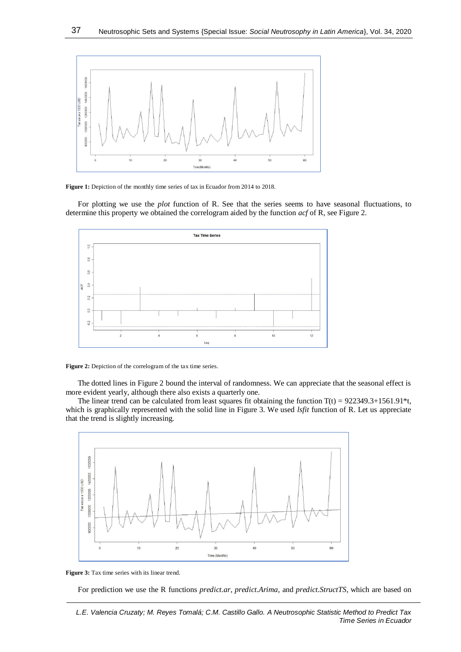

**Figure 1:** Depiction of the monthly time series of tax in Ecuador from 2014 to 2018.

For plotting we use the *plot* function of R. See that the series seems to have seasonal fluctuations, to determine this property we obtained the correlogram aided by the function *acf* of R, see Figure 2.



**Figure 2:** Depiction of the correlogram of the tax time series.

The dotted lines in Figure 2 bound the interval of randomness. We can appreciate that the seasonal effect is more evident yearly, although there also exists a quarterly one.

The linear trend can be calculated from least squares fit obtaining the function  $T(t) = 922349.3 + 1561.91$ <sup>\*</sup>t, which is graphically represented with the solid line in Figure 3. We used *lsfit* function of R. Let us appreciate that the trend is slightly increasing.



**Figure 3:** Tax time series with its linear trend.

For prediction we use the R functions *predict.ar*, *predict.Arima*, and *predict.StructTS*, which are based on

*L.E. Valencia Cruzaty; M. Reyes Tomalá; C.M. Castillo Gallo. A Neutrosophic Statistic Method to Predict Tax Time Series in Ecuador*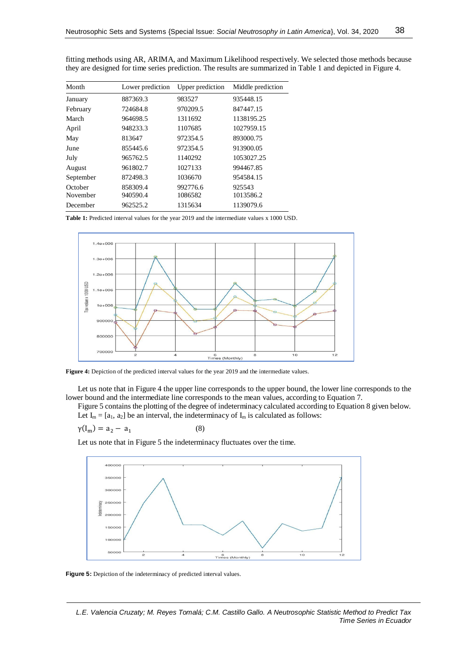| Month     | Lower prediction | Upper prediction | Middle prediction |
|-----------|------------------|------------------|-------------------|
| January   | 887369.3         | 983527           | 935448.15         |
| February  | 724684.8         | 970209.5         | 847447.15         |
| March     | 964698.5         | 1311692          | 1138195.25        |
| April     | 948233.3         | 1107685          | 1027959.15        |
| May       | 813647           | 972354.5         | 893000.75         |
| June      | 855445.6         | 972354.5         | 913900.05         |
| July      | 965762.5         | 1140292          | 1053027.25        |
| August    | 961802.7         | 1027133          | 994467.85         |
| September | 872498.3         | 1036670          | 954584.15         |
| October   | 858309.4         | 992776.6         | 925543            |
| November  | 940590.4         | 1086582          | 1013586.2         |
| December  | 962525.2         | 1315634          | 1139079.6         |

fitting methods using AR, ARIMA, and Maximum Likelihood respectively. We selected those methods because they are designed for time series prediction. The results are summarized in Table 1 and depicted in Figure 4.

**Table 1:** Predicted interval values for the year 2019 and the intermediate values x 1000 USD.



**Figure 4:** Depiction of the predicted interval values for the year 2019 and the intermediate values.

Let us note that in Figure 4 the upper line corresponds to the upper bound, the lower line corresponds to the lower bound and the intermediate line corresponds to the mean values, according to Equation 7.

Figure 5 contains the plotting of the degree of indeterminacy calculated according to Equation 8 given below. Let  $I_m = [a_1, a_2]$  be an interval, the indeterminacy of  $I_m$  is calculated as follows:

$$
\gamma(I_m) = a_2 - a_1
$$

Let us note that in Figure 5 the indeterminacy fluctuates over the time.

(8)